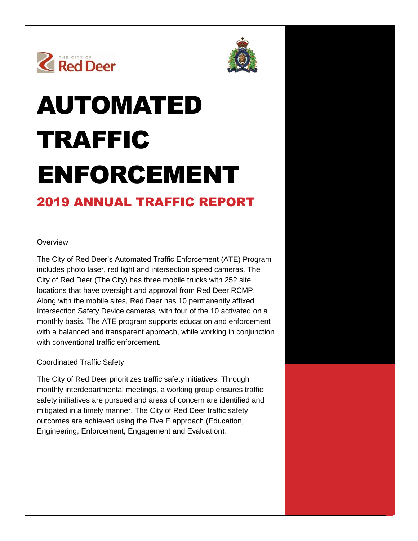



# AUTOMATED TRAFFIC ENFORCEMENT

# 2019 ANNUAL TRAFFIC REPORT

### **Overview**

The City of Red Deer's Automated Traffic Enforcement (ATE) Program includes photo laser, red light and intersection speed cameras. The City of Red Deer (The City) has three mobile trucks with 252 site locations that have oversight and approval from Red Deer RCMP. Along with the mobile sites, Red Deer has 10 permanently affixed Intersection Safety Device cameras, with four of the 10 activated on a monthly basis. The ATE program supports education and enforcement with a balanced and transparent approach, while working in conjunction with conventional traffic enforcement.

#### Coordinated Traffic Safety

The City of Red Deer prioritizes traffic safety initiatives. Through monthly interdepartmental meetings, a working group ensures traffic safety initiatives are pursued and areas of concern are identified and mitigated in a timely manner. The City of Red Deer traffic safety outcomes are achieved using the Five E approach (Education, Engineering, Enforcement, Engagement and Evaluation).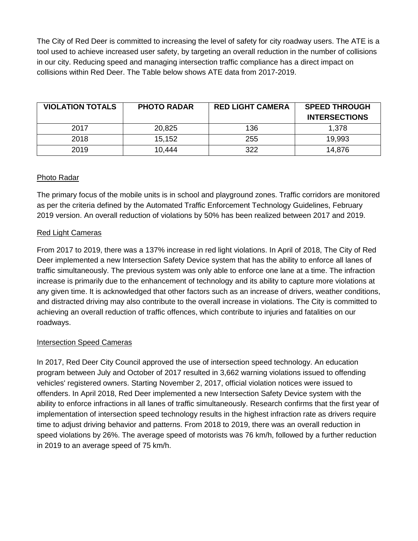The City of Red Deer is committed to increasing the level of safety for city roadway users. The ATE is a tool used to achieve increased user safety, by targeting an overall reduction in the number of collisions in our city. Reducing speed and managing intersection traffic compliance has a direct impact on collisions within Red Deer. The Table below shows ATE data from 2017-2019.

| <b>VIOLATION TOTALS</b> | <b>PHOTO RADAR</b> | <b>RED LIGHT CAMERA</b> | <b>SPEED THROUGH</b> |
|-------------------------|--------------------|-------------------------|----------------------|
|                         |                    |                         | <b>INTERSECTIONS</b> |
| 2017                    | 20,825             | 136                     | 1.378                |
| 2018                    | 15,152             | 255                     | 19,993               |
| 2019                    | 10.444             | 322                     | 14.876               |

#### Photo Radar

The primary focus of the mobile units is in school and playground zones. Traffic corridors are monitored as per the criteria defined by the Automated Traffic Enforcement Technology Guidelines, February 2019 version. An overall reduction of violations by 50% has been realized between 2017 and 2019.

#### Red Light Cameras

From 2017 to 2019, there was a 137% increase in red light violations. In April of 2018, The City of Red Deer implemented a new Intersection Safety Device system that has the ability to enforce all lanes of traffic simultaneously. The previous system was only able to enforce one lane at a time. The infraction increase is primarily due to the enhancement of technology and its ability to capture more violations at any given time. It is acknowledged that other factors such as an increase of drivers, weather conditions, and distracted driving may also contribute to the overall increase in violations. The City is committed to achieving an overall reduction of traffic offences, which contribute to injuries and fatalities on our roadways.

## Intersection Speed Cameras

In 2017, Red Deer City Council approved the use of intersection speed technology. An education program between July and October of 2017 resulted in 3,662 warning violations issued to offending vehicles' registered owners. Starting November 2, 2017, official violation notices were issued to offenders. In April 2018, Red Deer implemented a new Intersection Safety Device system with the ability to enforce infractions in all lanes of traffic simultaneously. Research confirms that the first year of implementation of intersection speed technology results in the highest infraction rate as drivers require time to adjust driving behavior and patterns. From 2018 to 2019, there was an overall reduction in speed violations by 26%. The average speed of motorists was 76 km/h, followed by a further reduction in 2019 to an average speed of 75 km/h.